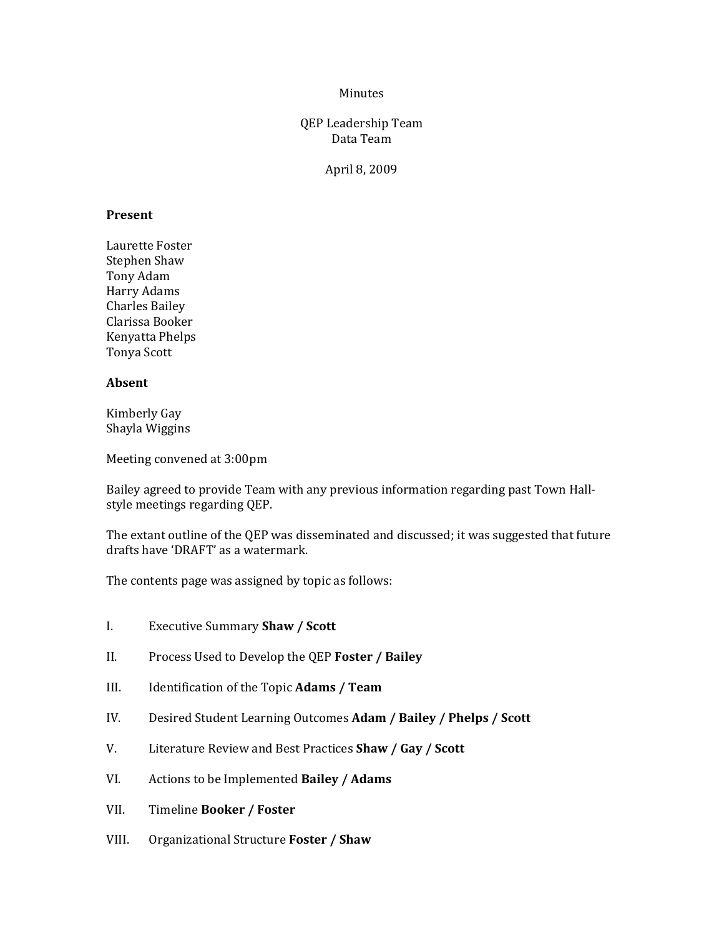### Minutes

# QEP Leadership Team Data Team

April 8, 2009

#### **Present**

Laurette Foster Stephen Shaw Tony Adam Harry Adams Charles Bailey Clarissa Booker Kenyatta Phelps Tonya Scott

# **Absent**

Kimberly Gay Shayla Wiggins

Meeting convened at 3:00pm

Bailey agreed to provide Team with any previous information regarding past Town Hall‐ style meetings regarding QEP.

The extant outline of the QEP was disseminated and discussed; it was suggested that future drafts have 'DRAFT' as a watermark.

The contents page was assigned by topic as follows:

- I. Executive Summary **Shaw / Scott**
- II. Process Used to Develop the QEP **Foster / Bailey**
- III. Identification of the Topic **Adams / Team**
- IV. Desired Student Learning Outcomes **Adam / Bailey / Phelps / Scott**
- V. Literature Review and Best Practices **Shaw / Gay / Scott**
- VI. Actions to be Implemented **Bailey / Adams**
- VII. Timeline **Booker / Foster**
- VIII. Organizational Structure **Foster / Shaw**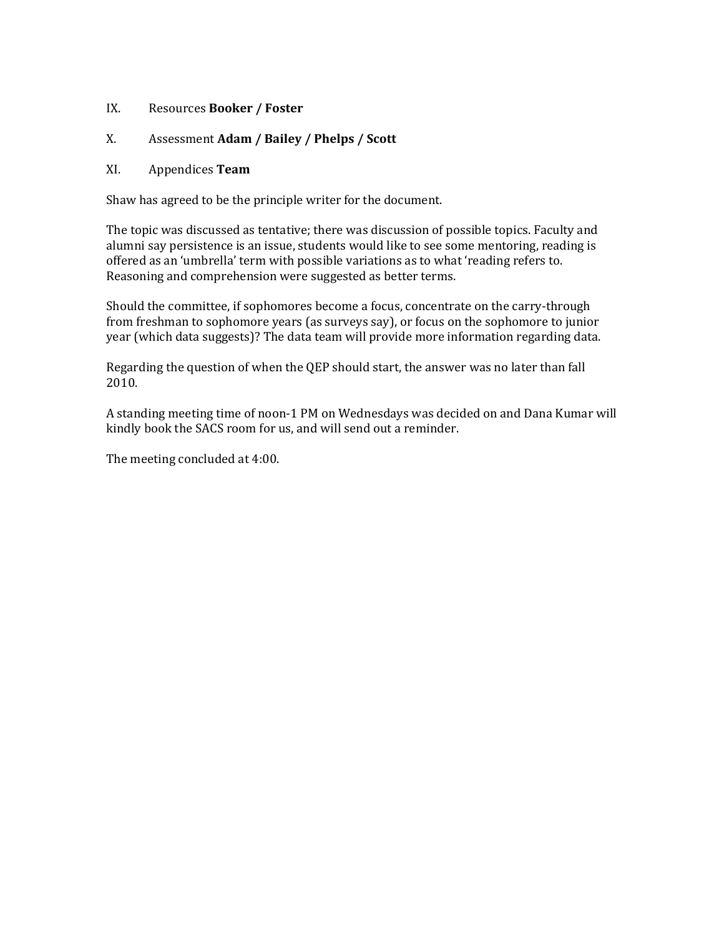# IX. Resources **B ooker / Foster**

# **Adam / Bailey / Phelps / Scott** X. Assessment

### XI. Appendices **Team**

Shaw has agreed to be the principle writer for the document.

The topic was discussed as tentative; there was discussion of possible topics. Faculty and alumni say persistence is an issue, students would like to see some mentoring, reading is offered as an 'umbrella' term with possible variations as to what 'reading refers to. Reasoning and comprehension were suggested as better terms.

Should the committee, if sophomores become a focus, concentrate on the carry‐through rom freshman to sophomore years (as surveys say), or focus on the sophomore to junior f year (which data suggests)? The data team will provide more information regarding data.

Regarding the question of when the QEP should start, the answer was no later than fall 2010.

A standing meeting time of noon-1 PM on Wednesdays was decided on and Dana Kumar will kindly book the SACS room for us, and will send out a reminder.

The meeting concluded at 4:00.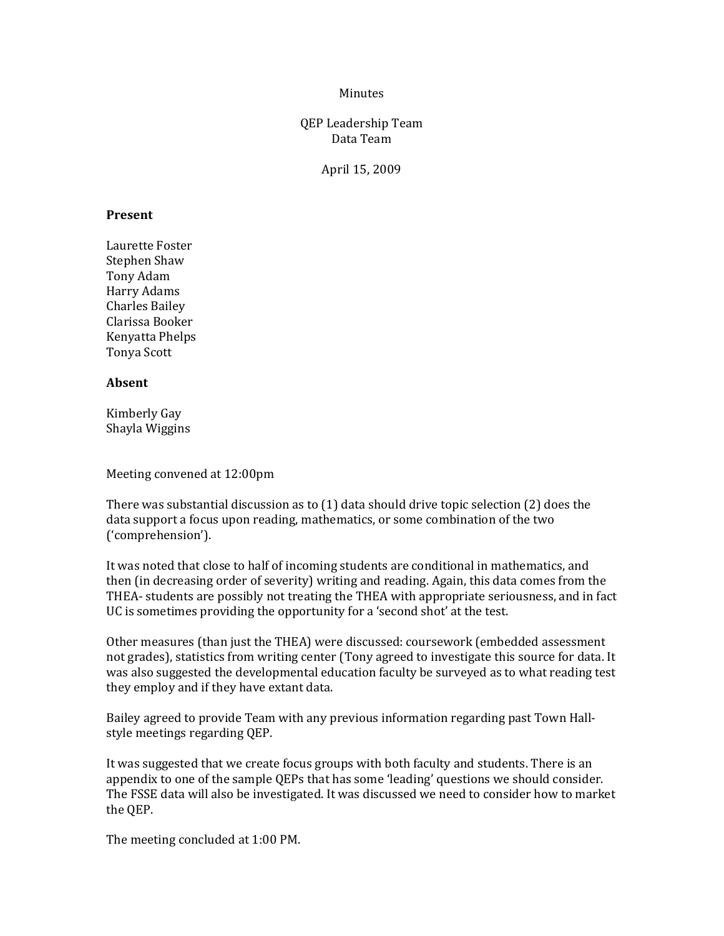#### Minutes

# QEP Leadership Team Data Team

April 15, 2009

#### **Present**

Laurette Foster Stephen Shaw Tony Adam Harry Adams Charles Bailey Clarissa Booker Kenyatta Phelps Tonya Scott

# **Absent**

Kimberly Gay Shayla Wiggins

Meeting convened at 12:00pm

There was substantial discussion as to (1) data should drive topic selection (2) does the data support a focus upon reading, mathematics, or some combination of the two ('comprehension').

It was noted that close to half of incoming students are conditional in mathematics, and then (in decreasing order of severity) writing and reading. Again, this data comes from the THEA‐ students are possibly not treating the THEA with appropriate seriousness, and in fact UC is sometimes providing the opportunity for a 'second shot' at the test.

Other measures (than just the THEA) were discussed: coursework (embedded assessment not grades), statistics from writing center (Tony agreed to investigate this source for data. It was also suggested the developmental education faculty be surveyed as to what reading test they employ and if they have extant data.

Bailey agreed to provide Team with any previous information regarding past Town Hall‐ style meetings regarding QEP.

It was suggested that we create focus groups with both faculty and students. There is an appendix to one of the sample QEPs that has some 'leading' questions we should consider. The FSSE data will also be investigated. It was discussed we need to consider how to market the QEP.

The meeting concluded at 1:00 PM.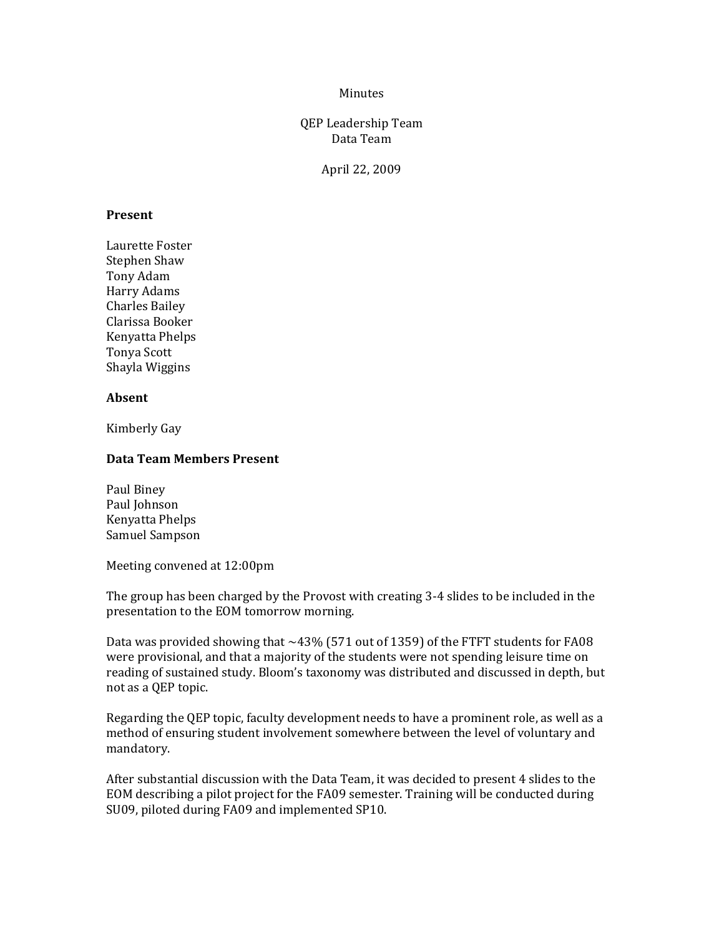### Minutes

# QEP Leadership Team Data Team

April 22, 2009

#### **Present**

Laurette Foster Stephen Shaw Tony Adam Harry Adams Charles Bailey Clarissa Booker Kenyatta Phelps Tonya Scott Shayla Wiggins

### **Absent**

Kimberly Gay

#### **Data Team Members Present**

Paul Biney Paul Johnson Kenyatta Phelps Samuel Sampson

Meeting convened at 12:00pm

The group has been charged by the Provost with creating 3‐4 slides to be included in the presentation to the EOM tomorrow morning.

Data was provided showing that  $\sim$  43% (571 out of 1359) of the FTFT students for FA08 were provisional, and that a majority of the students were not spending leisure time on reading of sustained study. Bloom's taxonomy was distributed and discussed in depth, but not as a QEP topic.

Regarding the QEP topic, faculty development needs to have a prominent role, as well as a method of ensuring student involvement somewhere between the level of voluntary and mandatory.

After substantial discussion with the Data Team, it was decided to present 4 slides to the EOM describing a pilot project for the FA09 semester. Training will be conducted during SU09, piloted during FA09 and implemented SP10.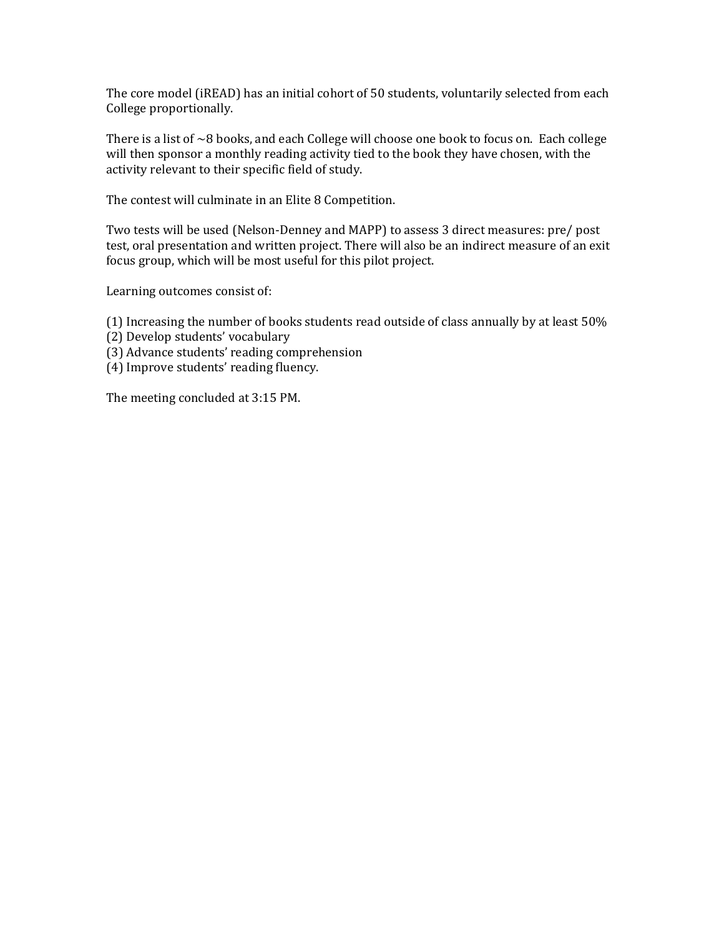The core model (iREAD) has an initial cohort of 50 students, voluntarily selected from each College proportionally.

There is a list of  $\sim$ 8 books, and each College will choose one book to focus on. Each college will then sponsor a monthly reading activity tied to the book they have chosen, with the activity relevant to their specific field of study.

The contest will culminate in an Elite 8 Competition.

Two tests will be used (Nelson‐Denney and MAPP) to assess 3 direct measures: pre/ post test, oral presentation and written project. There will also be an indirect measure of an exit focus group, which will be most useful for this pilot project.

Learning outcomes consist of:

- (1) Increasing the number of books students read outside of class annually by at least 50%
- (2) Develop students' vocabulary
- (3) Advance students' reading comprehension
- (4) Improve students' reading fluency.

The meeting concluded at 3:15 PM.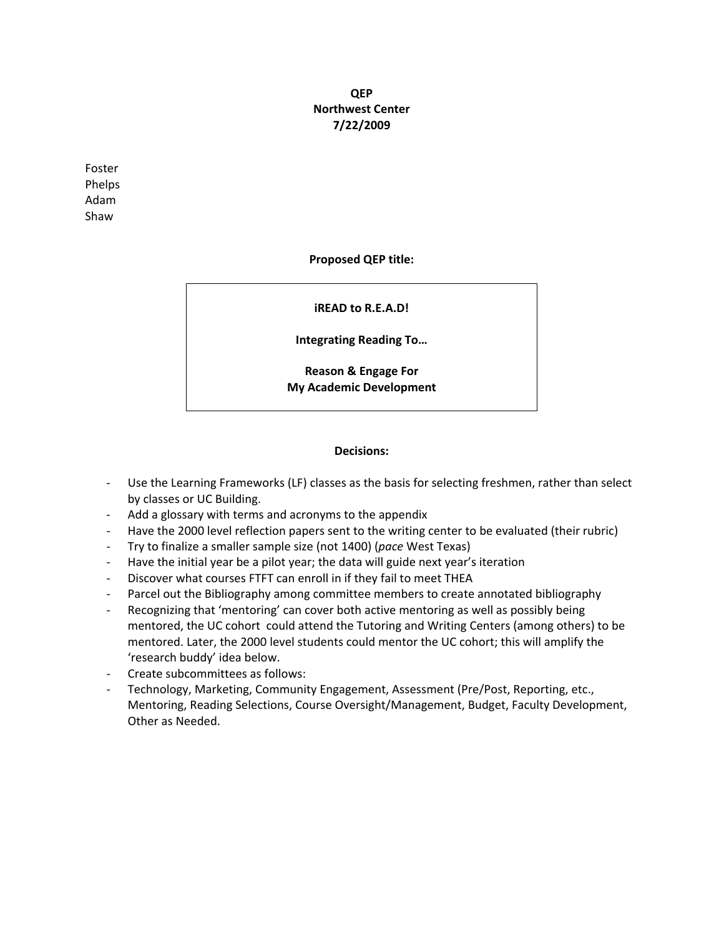# **QEP Northwest Center 7/22/2009**

Foster Phelps Adam Shaw

### **Proposed QEP title:**

### **iREAD to R.E.A.D!**

**Integrating Reading To…**

**Reason & Engage For My Academic Development**

#### **Decisions:**

- Use the Learning Frameworks (LF) classes as the basis for selecting freshmen, rather than select by classes or UC Building.
- ‐ Add a glossary with terms and acronyms to the appendix
- ‐ Have the 2000 level reflection papers sent to the writing center to be evaluated (their rubric)
- ‐ Try to finalize a smaller sample size (not 1400) (*pace* West Texas)
- ‐ Have the initial year be a pilot year; the data will guide next year's iteration
- ‐ Discover what courses FTFT can enroll in if they fail to meet THEA
- ‐ Parcel out the Bibliography among committee members to create annotated bibliography
- ‐ Recognizing that 'mentoring' can cover both active mentoring as well as possibly being mentored, the UC cohort could attend the Tutoring and Writing Centers (among others) to be mentored. Later, the 2000 level students could mentor the UC cohort; this will amplify the 'research buddy' idea below.
- ‐ Create subcommittees as follows:
- ‐ Technology, Marketing, Community Engagement, Assessment (Pre/Post, Reporting, etc., Mentoring, Reading Selections, Course Oversight/Management, Budget, Faculty Development, Other as Needed.